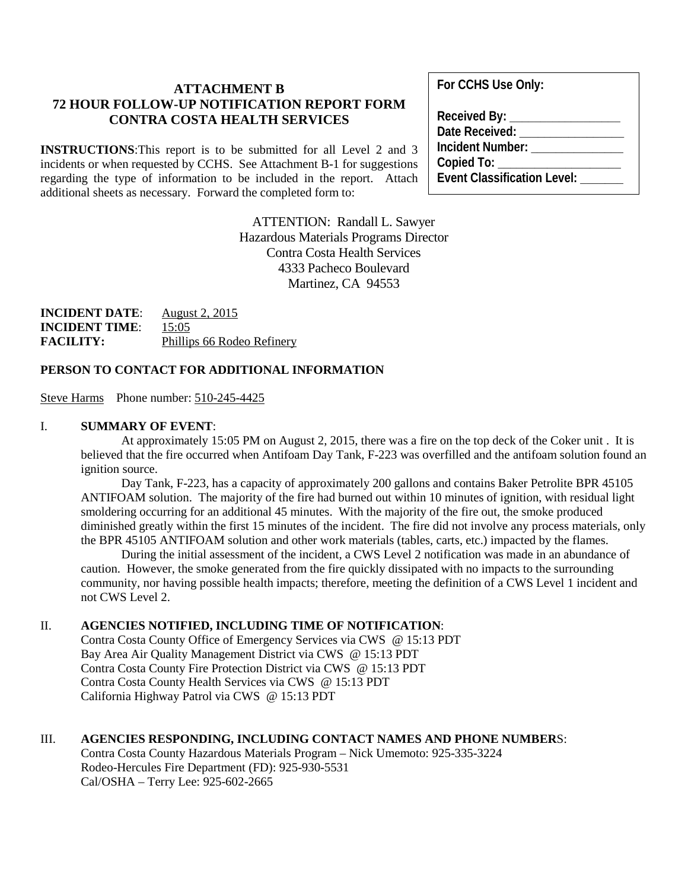# **ATTACHMENT B 72 HOUR FOLLOW-UP NOTIFICATION REPORT FORM CONTRA COSTA HEALTH SERVICES**

**INSTRUCTIONS**:This report is to be submitted for all Level 2 and 3 incidents or when requested by CCHS. See Attachment B-1 for suggestions regarding the type of information to be included in the report. Attach additional sheets as necessary. Forward the completed form to:

> ATTENTION: Randall L. Sawyer Hazardous Materials Programs Director Contra Costa Health Services 4333 Pacheco Boulevard Martinez, CA 94553

**INCIDENT DATE**: August 2, 2015 **INCIDENT TIME**: 15:05 **FACILITY:** Phillips 66 Rodeo Refinery

#### **PERSON TO CONTACT FOR ADDITIONAL INFORMATION**

Steve Harms Phone number: 510-245-4425

#### I. **SUMMARY OF EVENT**:

At approximately 15:05 PM on August 2, 2015, there was a fire on the top deck of the Coker unit . It is believed that the fire occurred when Antifoam Day Tank, F-223 was overfilled and the antifoam solution found an ignition source.

Day Tank, F-223, has a capacity of approximately 200 gallons and contains Baker Petrolite BPR 45105 ANTIFOAM solution. The majority of the fire had burned out within 10 minutes of ignition, with residual light smoldering occurring for an additional 45 minutes. With the majority of the fire out, the smoke produced diminished greatly within the first 15 minutes of the incident. The fire did not involve any process materials, only the BPR 45105 ANTIFOAM solution and other work materials (tables, carts, etc.) impacted by the flames.

During the initial assessment of the incident, a CWS Level 2 notification was made in an abundance of caution. However, the smoke generated from the fire quickly dissipated with no impacts to the surrounding community, nor having possible health impacts; therefore, meeting the definition of a CWS Level 1 incident and not CWS Level 2.

#### II. **AGENCIES NOTIFIED, INCLUDING TIME OF NOTIFICATION**:

Contra Costa County Office of Emergency Services via CWS @ 15:13 PDT Bay Area Air Quality Management District via CWS @ 15:13 PDT Contra Costa County Fire Protection District via CWS @ 15:13 PDT Contra Costa County Health Services via CWS @ 15:13 PDT California Highway Patrol via CWS @ 15:13 PDT

#### III. **AGENCIES RESPONDING, INCLUDING CONTACT NAMES AND PHONE NUMBER**S:

Contra Costa County Hazardous Materials Program – Nick Umemoto: 925-335-3224 Rodeo-Hercules Fire Department (FD): 925-930-5531 Cal/OSHA – Terry Lee: 925-602-2665

**For CCHS Use Only:**